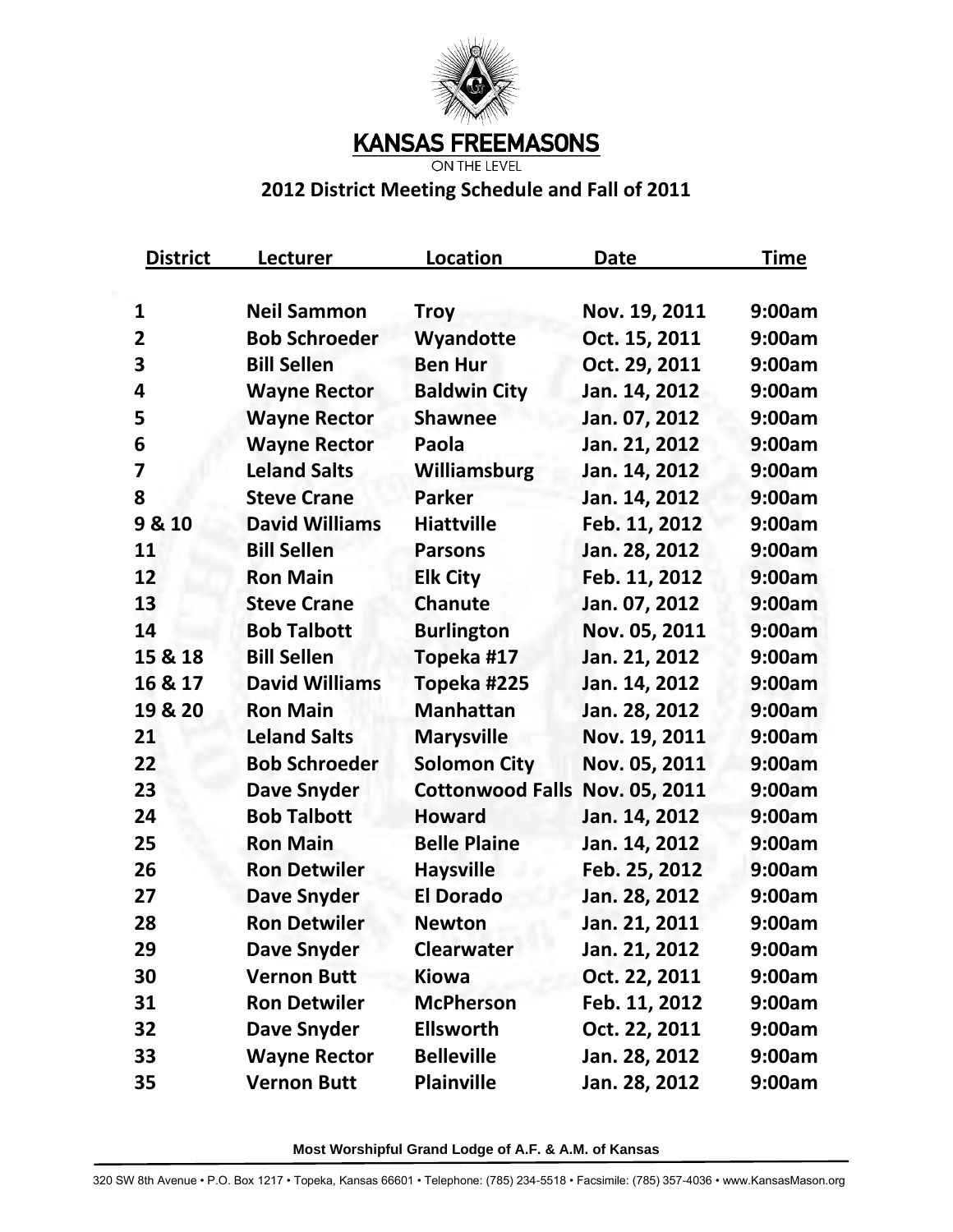

**KANSAS FREEMASONS** 

**ON THE LEVEL** 

## **2012 District Meeting Schedule and Fall of 2011**

| <b>District</b>         | <u>Lecturer</u>       | Location                | <b>Date</b>   | Time   |
|-------------------------|-----------------------|-------------------------|---------------|--------|
| 1                       | <b>Neil Sammon</b>    | <b>Troy</b>             | Nov. 19, 2011 | 9:00am |
| $\overline{2}$          | <b>Bob Schroeder</b>  | Wyandotte               | Oct. 15, 2011 | 9:00am |
| 3                       | <b>Bill Sellen</b>    | <b>Ben Hur</b>          | Oct. 29, 2011 | 9:00am |
| 4                       | <b>Wayne Rector</b>   | <b>Baldwin City</b>     | Jan. 14, 2012 | 9:00am |
| 5                       | <b>Wayne Rector</b>   | <b>Shawnee</b>          | Jan. 07, 2012 | 9:00am |
| 6                       | <b>Wayne Rector</b>   | Paola                   | Jan. 21, 2012 | 9:00am |
| $\overline{\mathbf{z}}$ | <b>Leland Salts</b>   | Williamsburg            | Jan. 14, 2012 | 9:00am |
| 8                       | <b>Steve Crane</b>    | <b>Parker</b>           | Jan. 14, 2012 | 9:00am |
| 9 & 10                  | <b>David Williams</b> | <b>Hiattville</b>       | Feb. 11, 2012 | 9:00am |
| 11                      | <b>Bill Sellen</b>    | <b>Parsons</b>          | Jan. 28, 2012 | 9:00am |
| 12                      | <b>Ron Main</b>       | <b>Elk City</b>         | Feb. 11, 2012 | 9:00am |
| 13                      | <b>Steve Crane</b>    | <b>Chanute</b>          | Jan. 07, 2012 | 9:00am |
| 14                      | <b>Bob Talbott</b>    | <b>Burlington</b>       | Nov. 05, 2011 | 9:00am |
| 15 & 18                 | <b>Bill Sellen</b>    | Topeka #17              | Jan. 21, 2012 | 9:00am |
| 16 & 17                 | <b>David Williams</b> | Topeka #225             | Jan. 14, 2012 | 9:00am |
| 19 & 20                 | <b>Ron Main</b>       | <b>Manhattan</b>        | Jan. 28, 2012 | 9:00am |
| 21                      | <b>Leland Salts</b>   | <b>Marysville</b>       | Nov. 19, 2011 | 9:00am |
| 22                      | <b>Bob Schroeder</b>  | <b>Solomon City</b>     | Nov. 05, 2011 | 9:00am |
| 23                      | <b>Dave Snyder</b>    | <b>Cottonwood Falls</b> | Nov. 05, 2011 | 9:00am |
| 24                      | <b>Bob Talbott</b>    | <b>Howard</b>           | Jan. 14, 2012 | 9:00am |
| 25                      | <b>Ron Main</b>       | <b>Belle Plaine</b>     | Jan. 14, 2012 | 9:00am |
| 26                      | <b>Ron Detwiler</b>   | <b>Haysville</b>        | Feb. 25, 2012 | 9:00am |
| 27                      | <b>Dave Snyder</b>    | <b>El Dorado</b>        | Jan. 28, 2012 | 9:00am |
| 28                      | <b>Ron Detwiler</b>   | <b>Newton</b>           | Jan. 21, 2011 | 9:00am |
| 29                      | <b>Dave Snyder</b>    | <b>Clearwater</b>       | Jan. 21, 2012 | 9:00am |
| 30                      | <b>Vernon Butt</b>    | <b>Kiowa</b>            | Oct. 22, 2011 | 9:00am |
| 31                      | <b>Ron Detwiler</b>   | <b>McPherson</b>        | Feb. 11, 2012 | 9:00am |
| 32                      | <b>Dave Snyder</b>    | <b>Ellsworth</b>        | Oct. 22, 2011 | 9:00am |
| 33                      | <b>Wayne Rector</b>   | <b>Belleville</b>       | Jan. 28, 2012 | 9:00am |
| 35                      | <b>Vernon Butt</b>    | <b>Plainville</b>       | Jan. 28, 2012 | 9:00am |

**Most Worshipful Grand Lodge of A.F. & A.M. of Kansas**